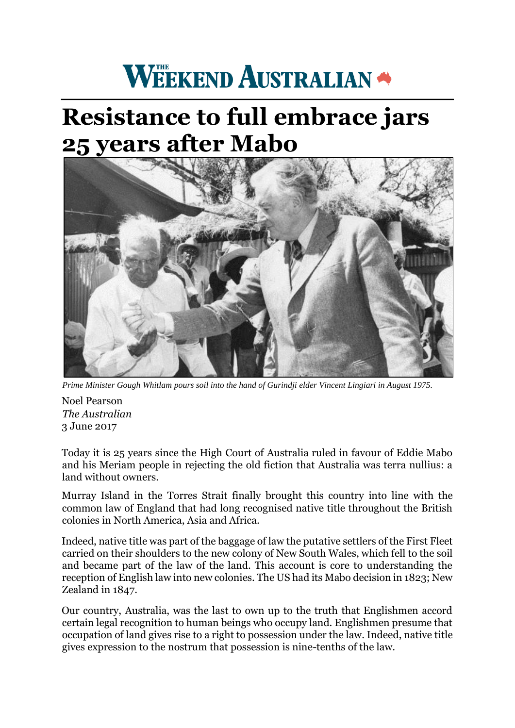## **WEEKEND AUSTRALIAN**

## **Resistance to full embrace jars 25 years after Mabo**



*Prime Minister Gough Whitlam pours soil into the hand of Gurindji elder Vincent Lingiari in August 1975.* 

Noel Pearson *The Australian*  3 June 2017

Today it is 25 years since the High Court of Australia ruled in favour of Eddie Mabo and his Meriam people in rejecting the old fiction that Australia was terra nullius: a land without owners.

Murray Island in the Torres Strait finally brought this country into line with the common law of England that had long recognised native title throughout the British colonies in North America, Asia and Africa.

Indeed, native title was part of the baggage of law the putative settlers of the First Fleet carried on their shoulders to the new colony of New South Wales, which fell to the soil and became part of the law of the land. This account is core to understanding the reception of English law into new colonies. The US had its Mabo decision in 1823; New Zealand in 1847.

Our country, Australia, was the last to own up to the truth that Englishmen accord certain legal recognition to human beings who occupy land. Englishmen presume that occupation of land gives rise to a right to possession under the law. Indeed, native title gives expression to the nostrum that possession is nine-tenths of the law.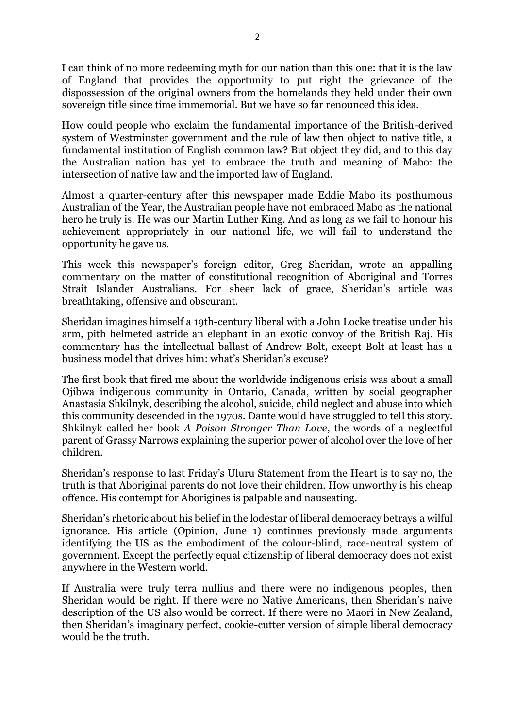I can think of no more redeeming myth for our nation than this one: that it is the law of England that provides the opportunity to put right the grievance of the dispossession of the original owners from the homelands they held under their own sovereign title since time immemorial. But we have so far renounced this idea.

How could people who exclaim the fundamental importance of the British-derived system of Westminster government and the rule of law then object to native title, a fundamental institution of English common law? But object they did, and to this day the Australian nation has yet to embrace the truth and meaning of Mabo: the intersection of native law and the imported law of England.

Almost a quarter-century after this newspaper made Eddie Mabo its posthumous Australian of the Year, the Australian people have not embraced Mabo as the national hero he truly is. He was our Martin Luther King. And as long as we fail to honour his achievement appropriately in our national life, we will fail to understand the opportunity he gave us.

This week this newspaper's foreign editor, Greg Sheridan, wrote an appalling commentary on the matter of constitutional recognition of Aboriginal and Torres Strait Islander Australians. For sheer lack of grace, Sheridan's article was breathtaking, offensive and obscurant.

Sheridan imagines himself a 19th-century liberal with a John Locke treatise under his arm, pith helmeted astride an elephant in an exotic convoy of the British Raj. His commentary has the intellectual ballast of Andrew Bolt, except Bolt at least has a business model that drives him: what's Sheridan's excuse?

The first book that fired me about the worldwide indigenous crisis was about a small Ojibwa indigenous community in Ontario, Canada, written by social geographer Anastasia Shkilnyk, describing the alcohol, suicide, child neglect and abuse into which this community descended in the 1970s. Dante would have struggled to tell this story. Shkilnyk called her book *A Poison Stronger Than Love*, the words of a neglectful parent of Grassy Narrows explaining the superior power of alcohol over the love of her children.

Sheridan's response to last Friday's Uluru Statement from the Heart is to say no, the truth is that Aboriginal parents do not love their children. How unworthy is his cheap offence. His contempt for Aborigines is palpable and nauseating.

Sheridan's rhetoric about his belief in the lodestar of liberal democracy betrays a wilful ignorance. His article (Opinion, June 1) continues previously made arguments identifying the US as the embodiment of the colour-blind, race-neutral system of government. Except the perfectly equal citizenship of liberal democracy does not exist anywhere in the Western world.

If Australia were truly terra nullius and there were no indigenous peoples, then Sheridan would be right. If there were no Native Americans, then Sheridan's naive description of the US also would be correct. If there were no Maori in New Zealand, then Sheridan's imaginary perfect, cookie-cutter version of simple liberal democracy would be the truth.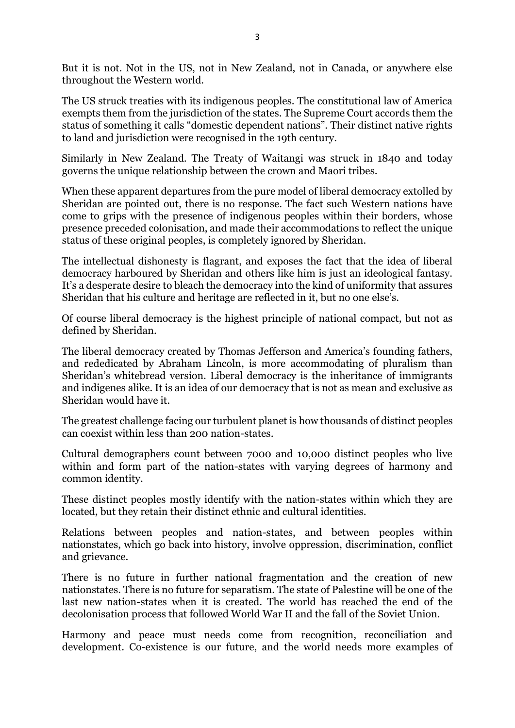But it is not. Not in the US, not in New Zealand, not in Canada, or anywhere else throughout the Western world.

The US struck treaties with its indigenous peoples. The constitutional law of America exempts them from the jurisdiction of the states. The Supreme Court accords them the status of something it calls "domestic dependent nations". Their distinct native rights to land and jurisdiction were recognised in the 19th century.

Similarly in New Zealand. The Treaty of Waitangi was struck in 1840 and today governs the unique relationship between the crown and Maori tribes.

When these apparent departures from the pure model of liberal democracy extolled by Sheridan are pointed out, there is no response. The fact such Western nations have come to grips with the presence of indigenous peoples within their borders, whose presence preceded colonisation, and made their accommodations to reflect the unique status of these original peoples, is completely ignored by Sheridan.

The intellectual dishonesty is flagrant, and exposes the fact that the idea of liberal democracy harboured by Sheridan and others like him is just an ideological fantasy. It's a desperate desire to bleach the democracy into the kind of uniformity that assures Sheridan that his culture and heritage are reflected in it, but no one else's.

Of course liberal democracy is the highest principle of national compact, but not as defined by Sheridan.

The liberal democracy created by Thomas Jefferson and America's founding fathers, and rededicated by Abraham Lincoln, is more accommodating of pluralism than Sheridan's whitebread version. Liberal democracy is the inheritance of immigrants and indigenes alike. It is an idea of our democracy that is not as mean and exclusive as Sheridan would have it.

The greatest challenge facing our turbulent planet is how thousands of distinct peoples can coexist within less than 200 nation-states.

Cultural demographers count between 7000 and 10,000 distinct peoples who live within and form part of the nation-states with varying degrees of harmony and common identity.

These distinct peoples mostly identify with the nation-states within which they are located, but they retain their distinct ethnic and cultural identities.

Relations between peoples and nation-states, and between peoples within nationstates, which go back into history, involve oppression, discrimination, conflict and grievance.

There is no future in further national fragmentation and the creation of new nationstates. There is no future for separatism. The state of Palestine will be one of the last new nation-states when it is created. The world has reached the end of the decolonisation process that followed World War II and the fall of the Soviet Union.

Harmony and peace must needs come from recognition, reconciliation and development. Co-existence is our future, and the world needs more examples of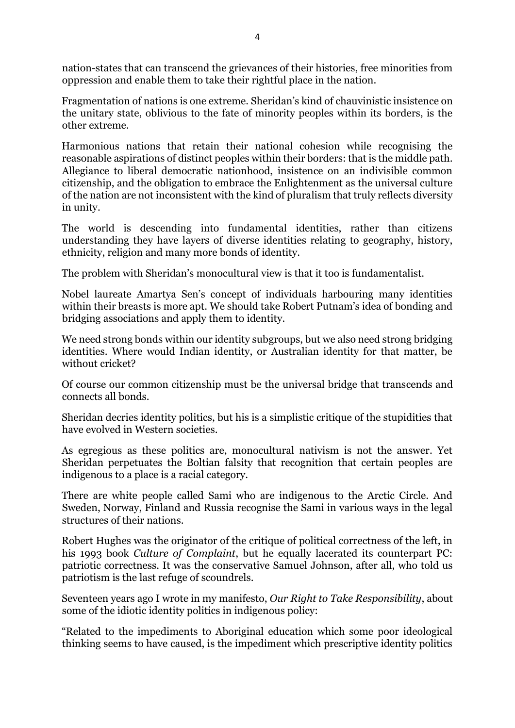nation-states that can transcend the grievances of their histories, free minorities from oppression and enable them to take their rightful place in the nation.

Fragmentation of nations is one extreme. Sheridan's kind of chauvinistic insistence on the unitary state, oblivious to the fate of minority peoples within its borders, is the other extreme.

Harmonious nations that retain their national cohesion while recognising the reasonable aspirations of distinct peoples within their borders: that is the middle path. Allegiance to liberal democratic nationhood, insistence on an indivisible common citizenship, and the obligation to embrace the Enlightenment as the universal culture of the nation are not inconsistent with the kind of pluralism that truly reflects diversity in unity.

The world is descending into fundamental identities, rather than citizens understanding they have layers of diverse identities relating to geography, history, ethnicity, religion and many more bonds of identity.

The problem with Sheridan's monocultural view is that it too is fundamentalist.

Nobel laureate Amartya Sen's concept of individuals harbouring many identities within their breasts is more apt. We should take Robert Putnam's idea of bonding and bridging associations and apply them to identity.

We need strong bonds within our identity subgroups, but we also need strong bridging identities. Where would Indian identity, or Australian identity for that matter, be without cricket?

Of course our common citizenship must be the universal bridge that transcends and connects all bonds.

Sheridan decries identity politics, but his is a simplistic critique of the stupidities that have evolved in Western societies.

As egregious as these politics are, monocultural nativism is not the answer. Yet Sheridan perpetuates the Boltian falsity that recognition that certain peoples are indigenous to a place is a racial category.

There are white people called Sami who are indigenous to the Arctic Circle. And Sweden, Norway, Finland and Russia recognise the Sami in various ways in the legal structures of their nations.

Robert Hughes was the originator of the critique of political correctness of the left, in his 1993 book *Culture of Complaint*, but he equally lacerated its counterpart PC: patriotic correctness. It was the conservative Samuel Johnson, after all, who told us patriotism is the last refuge of scoundrels.

Seventeen years ago I wrote in my manifesto, *Our Right to Take Responsibility*, about some of the idiotic identity politics in indigenous policy:

"Related to the impediments to Aboriginal education which some poor ideological thinking seems to have caused, is the impediment which prescriptive identity politics